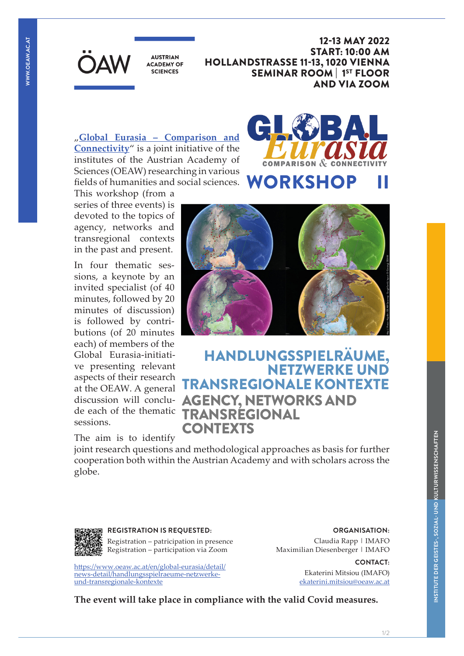**AUSTRIAN ACADEMY OF SCIENCES** 

12-13 MAY 2022 START: 10:00 AM HOLLANDSTRASSE 11-13, 1020 VIENNA SEMINAR ROOM | 1ST FLOOR AND VIA ZOOM

"**Global Eurasia – Comparison and Connectivity**" is a joint initiative of the institutes of the Austrian Academy of Sciences (OEAW) researching in various fields of humanities and social sciences.



### This workshop (from a series of three events) is devoted to the topics of agency, networks and transregional contexts in the past and present.

In four thematic sessions, a keynote by an invited specialist (of 40 minutes, followed by 20 minutes of discussion) is followed by contributions (of 20 minutes each) of members of the Global Eurasia-initiative presenting relevant aspects of their research at the OEAW. A general discussion will conclude each of the thematic sessions.

The aim is to identify



# HANDLUNGSSPIELRÄUME, NETZWERKE UND TRANSREGIONALE KONTEXTE AGENCY, NETWORKS AND TRANSREGIONAL CONTEXTS

joint research questions and methodological approaches as basis for further cooperation both within the Austrian Academy and with scholars across the globe.



**REGISTRATION IS REQUESTED:**

Registration – patricipation in presence Registration – participation via Zoom

https://www.oeaw.ac.at/en/global-eurasia/detail/ news-detail/handlungsspielraeume-netzwerkeund-transregionale-kontexte

**ORGANISATION:**  Claudia Rapp | IMAFO

Maximilian Diesenberger | IMAFO

**CONTACT:**  Ekaterini Mitsiou (IMAFO) ekaterini.mitsiou@oeaw.ac.at

**The event will take place in compliance with the valid Covid measures.**